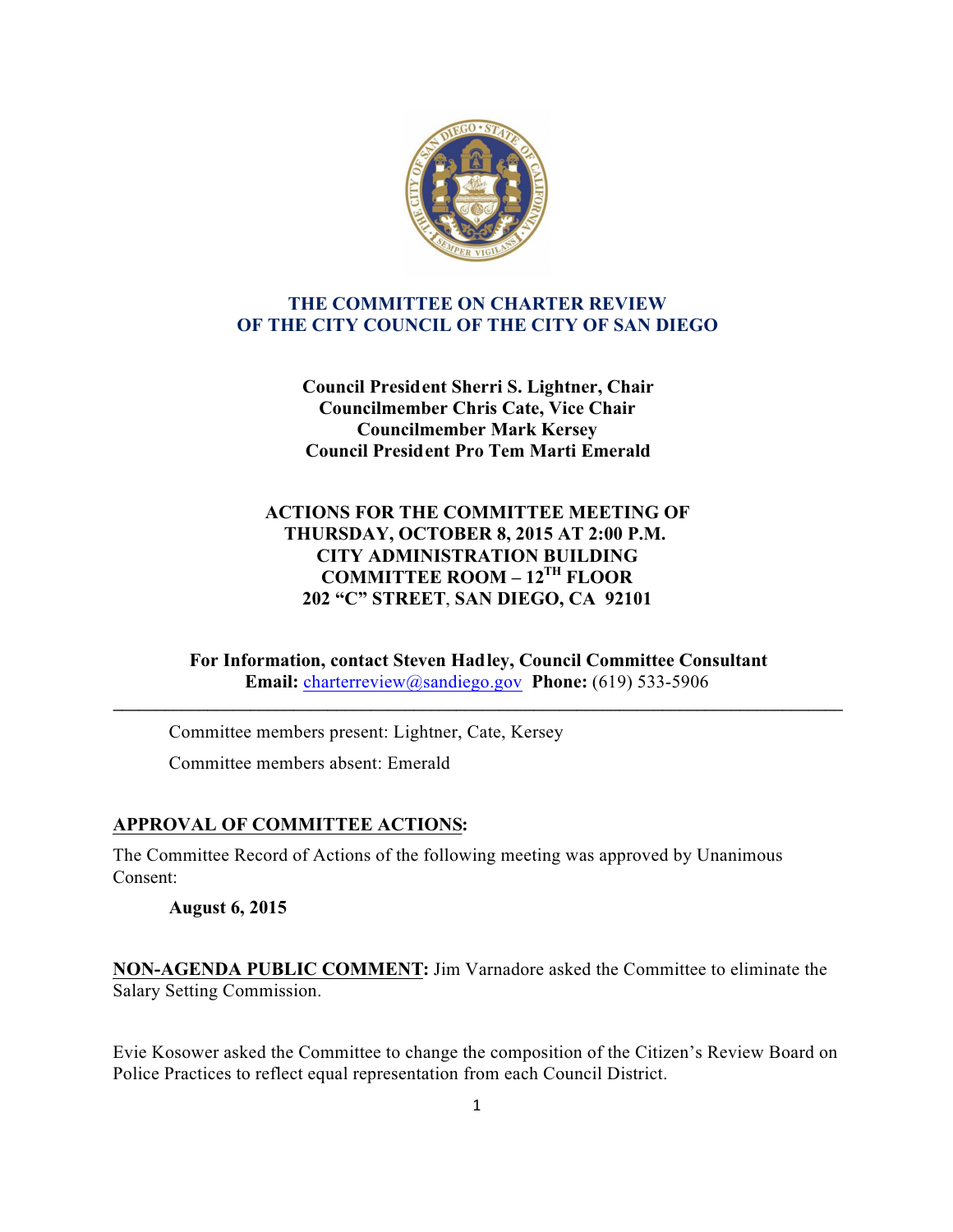

### **THE COMMITTEE ON CHARTER REVIEW OF THE CITY COUNCIL OF THE CITY OF SAN DIEGO**

**Council President Sherri S. Lightner, Chair Councilmember Chris Cate, Vice Chair Councilmember Mark Kersey Council President Pro Tem Marti Emerald**

## **ACTIONS FOR THE COMMITTEE MEETING OF THURSDAY, OCTOBER 8, 2015 AT 2:00 P.M. CITY ADMINISTRATION BUILDING COMMITTEE ROOM – 12TH FLOOR 202 "C" STREET**, **SAN DIEGO, CA 92101**

**For Information, contact Steven Hadley, Council Committee Consultant Email:** charterreview@sandiego.gov **Phone:** (619) 533-5906

**\_\_\_\_\_\_\_\_\_\_\_\_\_\_\_\_\_\_\_\_\_\_\_\_\_\_\_\_\_\_\_\_\_\_\_\_\_\_\_\_\_\_\_\_\_\_\_\_\_\_\_\_\_\_\_\_\_\_\_\_\_\_\_\_\_\_\_\_\_\_\_\_\_\_\_\_\_\_\_\_\_\_\_\_\_**

Committee members present: Lightner, Cate, Kersey Committee members absent: Emerald

## **APPROVAL OF COMMITTEE ACTIONS:**

The Committee Record of Actions of the following meeting was approved by Unanimous Consent:

**August 6, 2015**

**NON-AGENDA PUBLIC COMMENT:** Jim Varnadore asked the Committee to eliminate the Salary Setting Commission.

Evie Kosower asked the Committee to change the composition of the Citizen's Review Board on Police Practices to reflect equal representation from each Council District.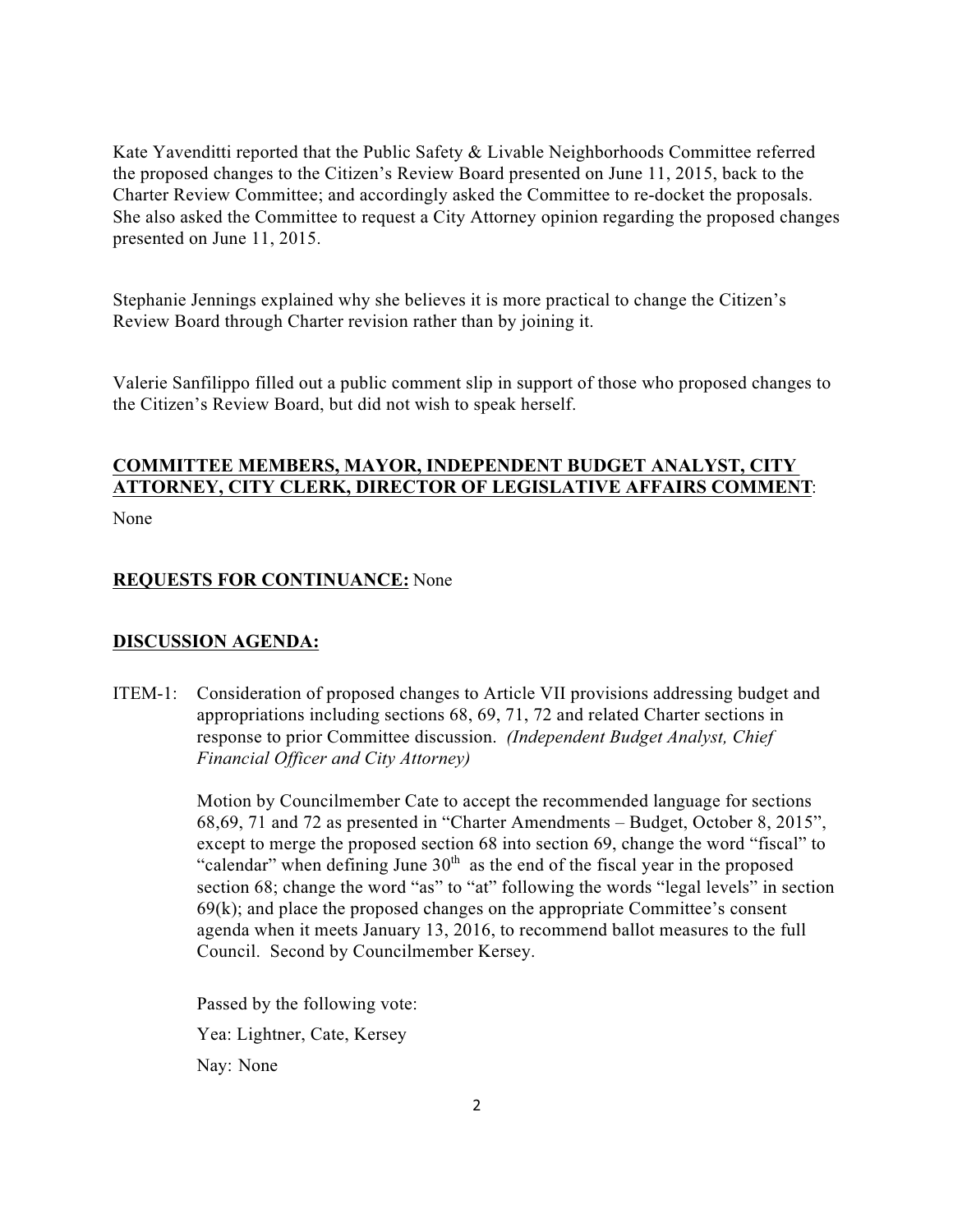Kate Yavenditti reported that the Public Safety & Livable Neighborhoods Committee referred the proposed changes to the Citizen's Review Board presented on June 11, 2015, back to the Charter Review Committee; and accordingly asked the Committee to re-docket the proposals. She also asked the Committee to request a City Attorney opinion regarding the proposed changes presented on June 11, 2015.

Stephanie Jennings explained why she believes it is more practical to change the Citizen's Review Board through Charter revision rather than by joining it.

Valerie Sanfilippo filled out a public comment slip in support of those who proposed changes to the Citizen's Review Board, but did not wish to speak herself.

# **COMMITTEE MEMBERS, MAYOR, INDEPENDENT BUDGET ANALYST, CITY ATTORNEY, CITY CLERK, DIRECTOR OF LEGISLATIVE AFFAIRS COMMENT**:

None

### **REQUESTS FOR CONTINUANCE:** None

#### **DISCUSSION AGENDA:**

ITEM-1: Consideration of proposed changes to Article VII provisions addressing budget and appropriations including sections 68, 69, 71, 72 and related Charter sections in response to prior Committee discussion. *(Independent Budget Analyst, Chief Financial Officer and City Attorney)*

> Motion by Councilmember Cate to accept the recommended language for sections 68,69, 71 and 72 as presented in "Charter Amendments – Budget, October 8, 2015", except to merge the proposed section 68 into section 69, change the word "fiscal" to "calendar" when defining June  $30<sup>th</sup>$  as the end of the fiscal year in the proposed section 68; change the word "as" to "at" following the words "legal levels" in section  $69(k)$ ; and place the proposed changes on the appropriate Committee's consent agenda when it meets January 13, 2016, to recommend ballot measures to the full Council. Second by Councilmember Kersey.

 Passed by the following vote: Yea: Lightner, Cate, Kersey Nay: None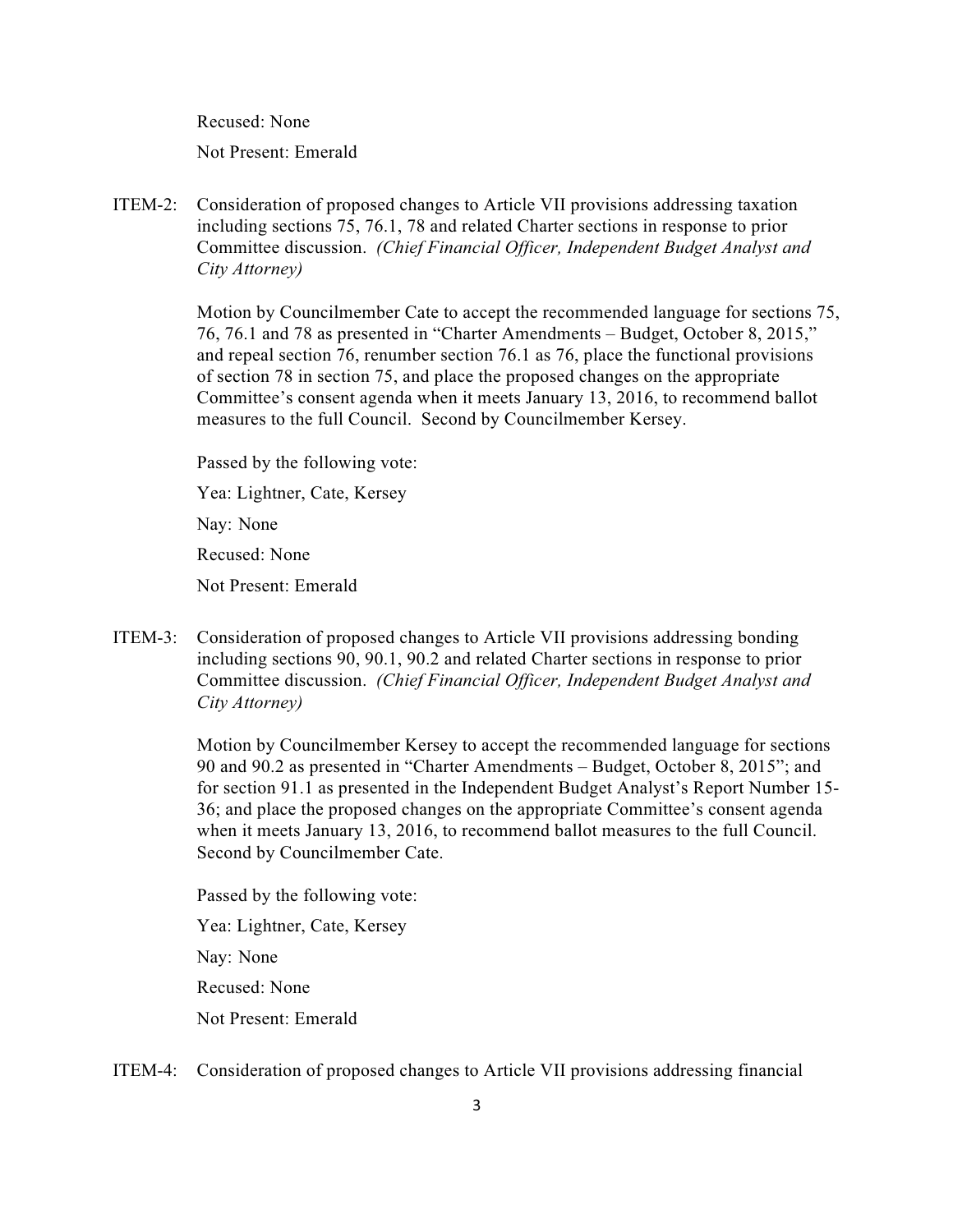Recused: None

Not Present: Emerald

ITEM-2: Consideration of proposed changes to Article VII provisions addressing taxation including sections 75, 76.1, 78 and related Charter sections in response to prior Committee discussion. *(Chief Financial Officer, Independent Budget Analyst and City Attorney)*

> Motion by Councilmember Cate to accept the recommended language for sections 75, 76, 76.1 and 78 as presented in "Charter Amendments – Budget, October 8, 2015," and repeal section 76, renumber section 76.1 as 76, place the functional provisions of section 78 in section 75, and place the proposed changes on the appropriate Committee's consent agenda when it meets January 13, 2016, to recommend ballot measures to the full Council. Second by Councilmember Kersey.

Passed by the following vote:

Yea: Lightner, Cate, Kersey

Nay: None

Recused: None

Not Present: Emerald

ITEM-3: Consideration of proposed changes to Article VII provisions addressing bonding including sections 90, 90.1, 90.2 and related Charter sections in response to prior Committee discussion. *(Chief Financial Officer, Independent Budget Analyst and City Attorney)*

> Motion by Councilmember Kersey to accept the recommended language for sections 90 and 90.2 as presented in "Charter Amendments – Budget, October 8, 2015"; and for section 91.1 as presented in the Independent Budget Analyst's Report Number 15- 36; and place the proposed changes on the appropriate Committee's consent agenda when it meets January 13, 2016, to recommend ballot measures to the full Council. Second by Councilmember Cate.

 Passed by the following vote: Yea: Lightner, Cate, Kersey Nay: None Recused: None Not Present: Emerald

ITEM-4: Consideration of proposed changes to Article VII provisions addressing financial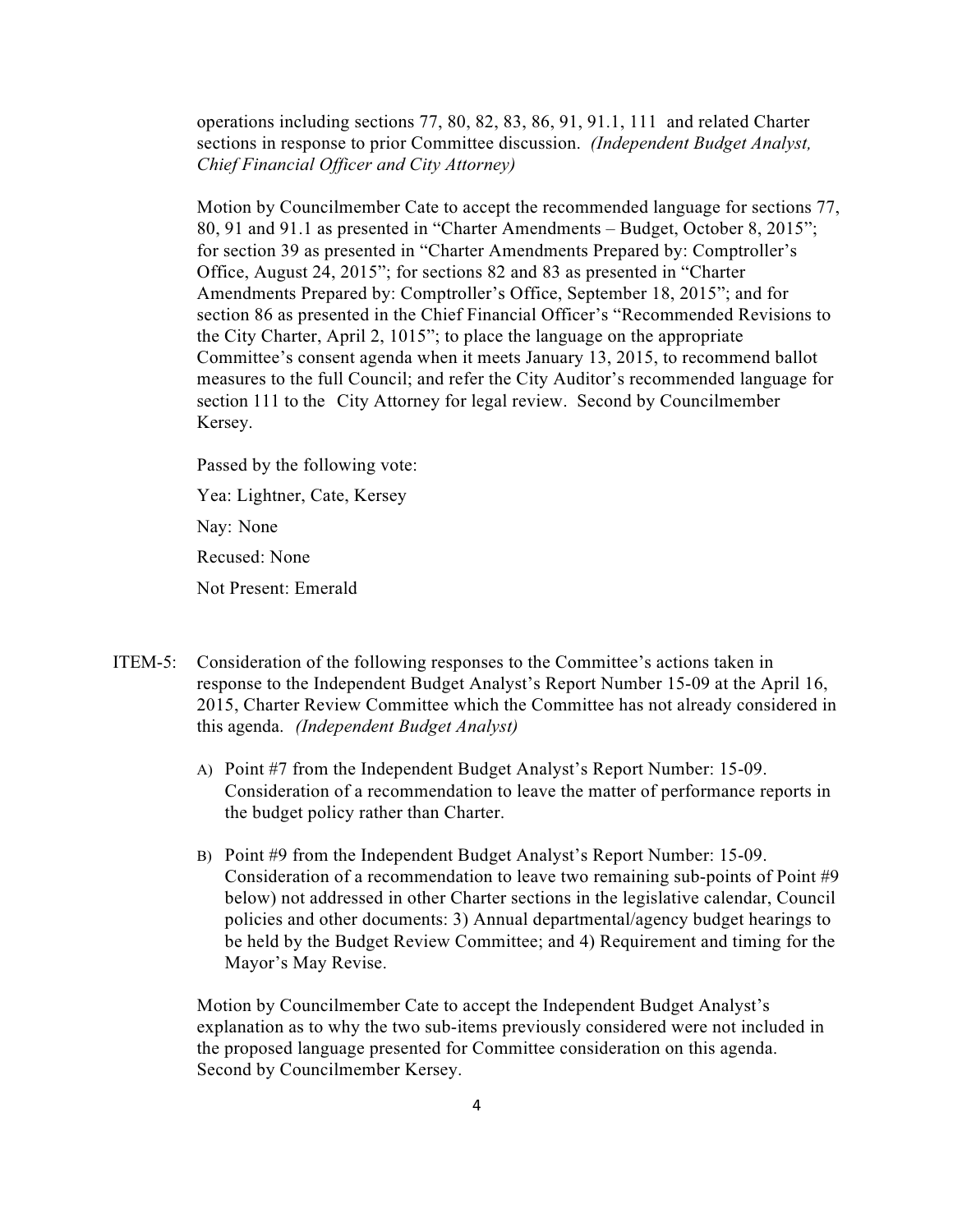operations including sections 77, 80, 82, 83, 86, 91, 91.1, 111 and related Charter sections in response to prior Committee discussion. *(Independent Budget Analyst, Chief Financial Officer and City Attorney)*

Motion by Councilmember Cate to accept the recommended language for sections 77, 80, 91 and 91.1 as presented in "Charter Amendments – Budget, October 8, 2015"; for section 39 as presented in "Charter Amendments Prepared by: Comptroller's Office, August 24, 2015"; for sections 82 and 83 as presented in "Charter Amendments Prepared by: Comptroller's Office, September 18, 2015"; and for section 86 as presented in the Chief Financial Officer's "Recommended Revisions to the City Charter, April 2, 1015"; to place the language on the appropriate Committee's consent agenda when it meets January 13, 2015, to recommend ballot measures to the full Council; and refer the City Auditor's recommended language for section 111 to the City Attorney for legal review. Second by Councilmember Kersey.

Passed by the following vote:

Yea: Lightner, Cate, Kersey

Nay: None

Recused: None

Not Present: Emerald

- ITEM-5: Consideration of the following responses to the Committee's actions taken in response to the Independent Budget Analyst's Report Number 15-09 at the April 16, 2015, Charter Review Committee which the Committee has not already considered in this agenda. *(Independent Budget Analyst)*
	- A) Point #7 from the Independent Budget Analyst's Report Number: 15-09. Consideration of a recommendation to leave the matter of performance reports in the budget policy rather than Charter.
	- B) Point #9 from the Independent Budget Analyst's Report Number: 15-09. Consideration of a recommendation to leave two remaining sub-points of Point #9 below) not addressed in other Charter sections in the legislative calendar, Council policies and other documents: 3) Annual departmental/agency budget hearings to be held by the Budget Review Committee; and 4) Requirement and timing for the Mayor's May Revise.

Motion by Councilmember Cate to accept the Independent Budget Analyst's explanation as to why the two sub-items previously considered were not included in the proposed language presented for Committee consideration on this agenda. Second by Councilmember Kersey.